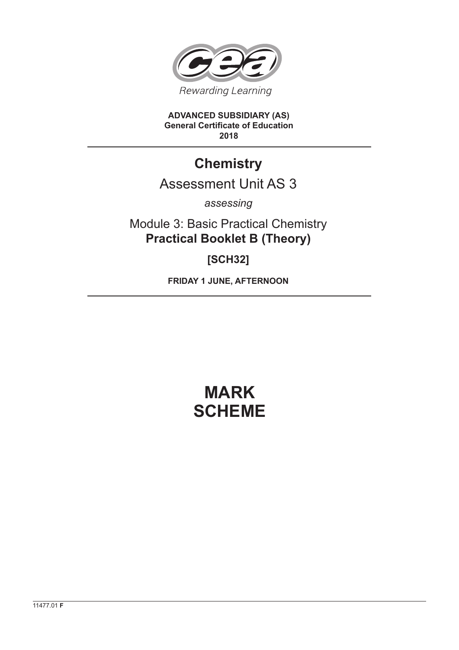

**ADVANCED SUBSIDIARY (AS) General Certificate of Education 2018**

## **Chemistry**

## Assessment Unit AS 3

*assessing*

Module 3: Basic Practical Chemistry **Practical Booklet B (Theory)**

**[SCH32]**

**FRIDAY 1 JUNE, AFTERNOON**

## **MARK SCHEME**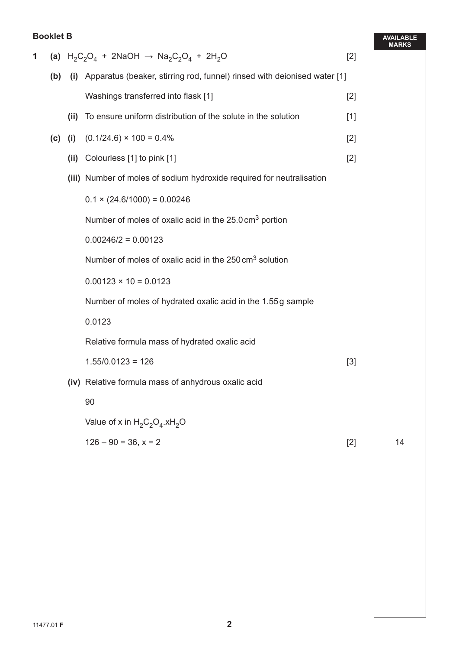## **Booklet B**

| 1 |     |                                                                                                         |                                                                          | $[2]$ | <b>MARI</b> |
|---|-----|---------------------------------------------------------------------------------------------------------|--------------------------------------------------------------------------|-------|-------------|
|   |     | (a) $H_2C_2O_4$ + 2NaOH $\rightarrow$ Na <sub>2</sub> C <sub>2</sub> O <sub>4</sub> + 2H <sub>2</sub> O |                                                                          |       |             |
|   | (b) | (i)                                                                                                     | Apparatus (beaker, stirring rod, funnel) rinsed with deionised water [1] |       |             |
|   |     |                                                                                                         | Washings transferred into flask [1]                                      | $[2]$ |             |
|   |     | (ii)                                                                                                    | To ensure uniform distribution of the solute in the solution             | $[1]$ |             |
|   | (c) | (i)                                                                                                     | $(0.1/24.6) \times 100 = 0.4\%$                                          | $[2]$ |             |
|   |     | (ii)                                                                                                    | Colourless [1] to pink [1]                                               | $[2]$ |             |
|   |     |                                                                                                         | (iii) Number of moles of sodium hydroxide required for neutralisation    |       |             |
|   |     |                                                                                                         | $0.1 \times (24.6/1000) = 0.00246$                                       |       |             |
|   |     |                                                                                                         | Number of moles of oxalic acid in the 25.0 cm <sup>3</sup> portion       |       |             |
|   |     |                                                                                                         | $0.00246/2 = 0.00123$                                                    |       |             |
|   |     |                                                                                                         | Number of moles of oxalic acid in the 250 cm <sup>3</sup> solution       |       |             |
|   |     |                                                                                                         | $0.00123 \times 10 = 0.0123$                                             |       |             |
|   |     |                                                                                                         | Number of moles of hydrated oxalic acid in the 1.55g sample              |       |             |
|   |     |                                                                                                         | 0.0123                                                                   |       |             |
|   |     |                                                                                                         | Relative formula mass of hydrated oxalic acid                            |       |             |
|   |     |                                                                                                         | $1.55/0.0123 = 126$                                                      | $[3]$ |             |
|   |     |                                                                                                         | (iv) Relative formula mass of anhydrous oxalic acid                      |       |             |
|   |     |                                                                                                         | 90                                                                       |       |             |
|   |     |                                                                                                         | Value of x in $H_2C_2O_4$ .xH <sub>2</sub> O                             |       |             |
|   |     |                                                                                                         | $126 - 90 = 36$ , $x = 2$                                                | $[2]$ | 14          |
|   |     |                                                                                                         |                                                                          |       |             |
|   |     |                                                                                                         |                                                                          |       |             |
|   |     |                                                                                                         |                                                                          |       |             |

**AVAILABLE MARKS**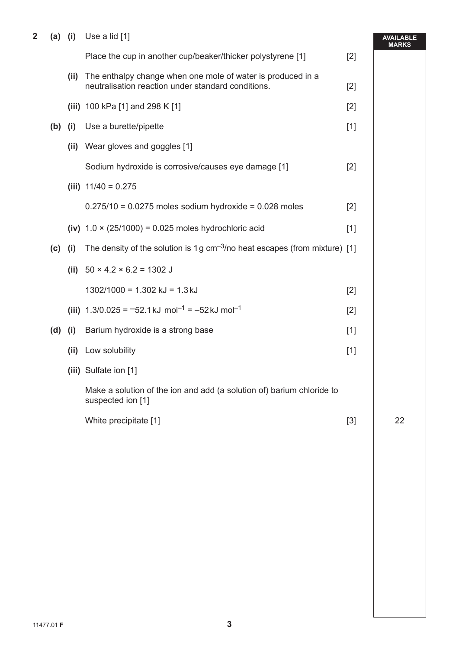**2 (a) (i)** Use a lid [1]

| $\overline{\mathbf{2}}$ |           |      | (a) (i) Use a lid $[1]$                                                                                           |       | <b>AVAILABLE</b><br><b>MARKS</b> |
|-------------------------|-----------|------|-------------------------------------------------------------------------------------------------------------------|-------|----------------------------------|
|                         |           |      | Place the cup in another cup/beaker/thicker polystyrene [1]                                                       | $[2]$ |                                  |
|                         |           | (ii) | The enthalpy change when one mole of water is produced in a<br>neutralisation reaction under standard conditions. | $[2]$ |                                  |
|                         |           |      | (iii) 100 kPa [1] and 298 K [1]                                                                                   | $[2]$ |                                  |
|                         | $(b)$ (i) |      | Use a burette/pipette                                                                                             | $[1]$ |                                  |
|                         |           |      | (ii) Wear gloves and goggles [1]                                                                                  |       |                                  |
|                         |           |      | Sodium hydroxide is corrosive/causes eye damage [1]                                                               | $[2]$ |                                  |
|                         |           |      | (iii) $11/40 = 0.275$                                                                                             |       |                                  |
|                         |           |      | $0.275/10 = 0.0275$ moles sodium hydroxide = 0.028 moles                                                          | $[2]$ |                                  |
|                         |           |      | (iv) $1.0 \times (25/1000) = 0.025$ moles hydrochloric acid                                                       | $[1]$ |                                  |
|                         | $(c)$ (i) |      | The density of the solution is 1g $cm^{-3}/no$ heat escapes (from mixture) [1]                                    |       |                                  |
|                         |           |      | (ii) $50 \times 4.2 \times 6.2 = 1302$ J                                                                          |       |                                  |
|                         |           |      | $1302/1000 = 1.302$ kJ = 1.3 kJ                                                                                   | $[2]$ |                                  |
|                         |           |      | (iii) $1.3/0.025 = -52.1 \text{ kJ} \text{ mol}^{-1} = -52 \text{ kJ} \text{ mol}^{-1}$                           | $[2]$ |                                  |
|                         | (d)       | (i)  | Barium hydroxide is a strong base                                                                                 | $[1]$ |                                  |
|                         |           |      | (ii) Low solubility                                                                                               | $[1]$ |                                  |
|                         |           |      | (iii) Sulfate ion [1]                                                                                             |       |                                  |
|                         |           |      | Make a solution of the ion and add (a solution of) barium chloride to<br>suspected ion [1]                        |       |                                  |
|                         |           |      | White precipitate [1]                                                                                             | $[3]$ | 22                               |
|                         |           |      |                                                                                                                   |       |                                  |
|                         |           |      |                                                                                                                   |       |                                  |
|                         |           |      |                                                                                                                   |       |                                  |
|                         |           |      |                                                                                                                   |       |                                  |
|                         |           |      |                                                                                                                   |       |                                  |
|                         |           |      |                                                                                                                   |       |                                  |
|                         |           |      |                                                                                                                   |       |                                  |
|                         |           |      |                                                                                                                   |       |                                  |